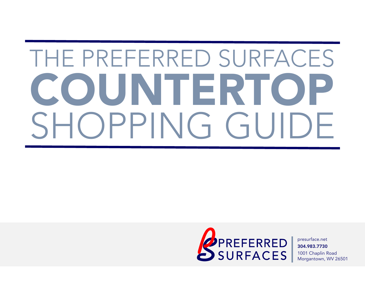# THE PREFERRED SURFACES COUNTERTOP SHOPPING GUIDE

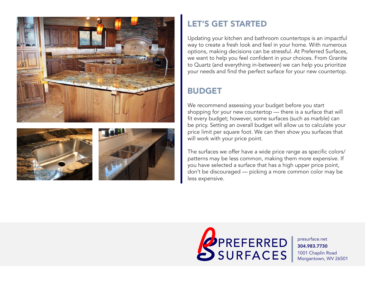





#### LET'S GET STARTED

Updating your kitchen and bathroom countertops is an impactful way to create a fresh look and feel in your home. With numerous options, making decisions can be stressful. At Preferred Surfaces, we want to help you feel confident in your choices. From Granite to Quartz (and everything in-between) we can help you prioritize your needs and find the perfect surface for your new countertop.

#### BUDGET

We recommend assessing your budget before you start shopping for your new countertop — there is a surface that will fit every budget; however, some surfaces (such as marble) can be pricy. Setting an overall budget will allow us to calculate your price limit per square foot. We can then show you surfaces that will work with your price point.

The surfaces we offer have a wide price range as specific colors/ patterns may be less common, making them more expensive. If you have selected a surface that has a high upper price point, don't be discouraged — picking a more common color may be less expensive.

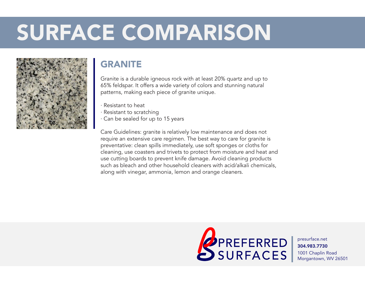

#### **GRANITE**

Granite is a durable igneous rock with at least 20% quartz and up to 65% feldspar. It offers a wide variety of colors and stunning natural patterns, making each piece of granite unique.

- · Resistant to heat
- · Resistant to scratching
- · Can be sealed for up to 15 years

Care Guidelines: granite is relatively low maintenance and does not require an extensive care regimen. The best way to care for granite is preventative: clean spills immediately, use soft sponges or cloths for cleaning, use coasters and trivets to protect from moisture and heat and use cutting boards to prevent knife damage. Avoid cleaning products such as bleach and other household cleaners with acid/alkali chemicals, along with vinegar, ammonia, lemon and orange cleaners.

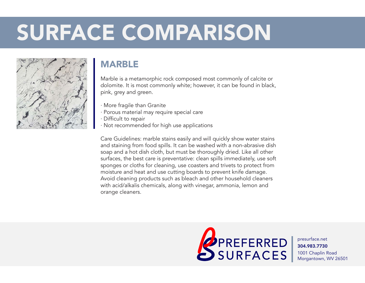

#### MARBLE

Marble is a metamorphic rock composed most commonly of calcite or dolomite. It is most commonly white; however, it can be found in black, pink, grey and green.

- · More fragile than Granite
- · Porous material may require special care
- · Difficult to repair
- · Not recommended for high use applications

Care Guidelines: marble stains easily and will quickly show water stains and staining from food spills. It can be washed with a non-abrasive dish soap and a hot dish cloth, but must be thoroughly dried. Like all other surfaces, the best care is preventative: clean spills immediately, use soft sponges or cloths for cleaning, use coasters and trivets to protect from moisture and heat and use cutting boards to prevent knife damage. Avoid cleaning products such as bleach and other household cleaners with acid/alkalis chemicals, along with vinegar, ammonia, lemon and orange cleaners.

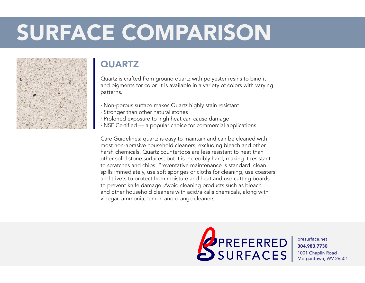

#### **QUARTZ**

Quartz is crafted from ground quartz with polyester resins to bind it and pigments for color. It is available in a variety of colors with varying patterns.

- · Non-porous surface makes Quartz highly stain resistant
- · Stronger than other natural stones
- · Proloned exposure to high heat can cause damage
- · NSF Certified a popular choice for commercial applications

Care Guidelines: quartz is easy to maintain and can be cleaned with most non-abrasive household cleaners, excluding bleach and other harsh chemicals. Quartz countertops are less resistant to heat than other solid stone surfaces, but it is incredibly hard, making it resistant to scratches and chips. Preventative maintenance is standard: clean spills immediately, use soft sponges or cloths for cleaning, use coasters and trivets to protect from moisture and heat and use cutting boards to prevent knife damage. Avoid cleaning products such as bleach and other household cleaners with acid/alkalis chemicals, along with vinegar, ammonia, lemon and orange cleaners.

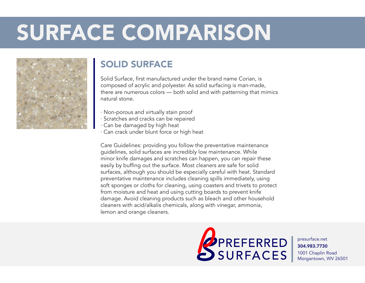

#### SOLID SURFACE

Solid Surface, first manufactured under the brand name Corian, is composed of acrylic and polyester. As solid surfacing is man-made, there are numerous colors — both solid and with patterning that mimics natural stone.

- · Non-porous and virtually stain proof
- · Scratches and cracks can be repaired
- · Can be damaged by high heat
- · Can crack under blunt force or high heat

Care Guidelines: providing you follow the preventative maintenance guidelines, solid surfaces are incredibly low maintenance. While minor knife damages and scratches can happen, you can repair these easily by buffing out the surface. Most cleaners are safe for solid surfaces, although you should be especially careful with heat. Standard preventative maintenance includes cleaning spills immediately, using soft sponges or cloths for cleaning, using coasters and trivets to protect from moisture and heat and using cutting boards to prevent knife damage. Avoid cleaning products such as bleach and other household cleaners with acid/alkalis chemicals, along with vinegar, ammonia, lemon and orange cleaners.

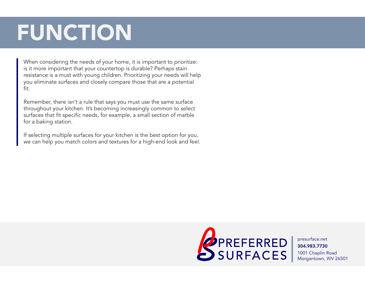# FUNCTION

When considering the needs of your home, it is important to prioritize: is it more important that your countertop is durable? Perhaps stain resistance is a must with young children. Prioritizing your needs will help you eliminate surfaces and closely compare those that are a potential fit.

Remember, there isn't a rule that says you must use the same surface throughout your kitchen. It's becoming increasingly common to select surfaces that fit specific needs, for example, a small section of marble for a baking station.

If selecting multiple surfaces for your kitchen is the best option for you, we can help you match colors and textures for a high-end look and feel.

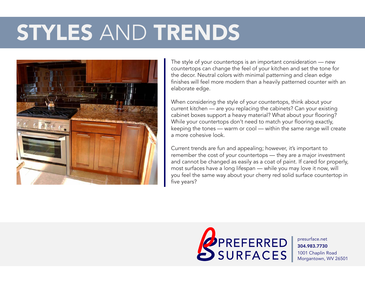### STYLES AND TRENDS



The style of your countertops is an important consideration — new countertops can change the feel of your kitchen and set the tone for the decor. Neutral colors with minimal patterning and clean edge finishes will feel more modern than a heavily patterned counter with an elaborate edge.

When considering the style of your countertops, think about your current kitchen — are you replacing the cabinets? Can your existing cabinet boxes support a heavy material? What about your flooring? While your countertops don't need to match your flooring exactly, keeping the tones — warm or cool — within the same range will create a more cohesive look.

Current trends are fun and appealing; however, it's important to remember the cost of your countertops — they are a major investment and cannot be changed as easily as a coat of paint. If cared for properly, most surfaces have a long lifespan — while you may love it now, will you feel the same way about your cherry red solid surface countertop in five years?

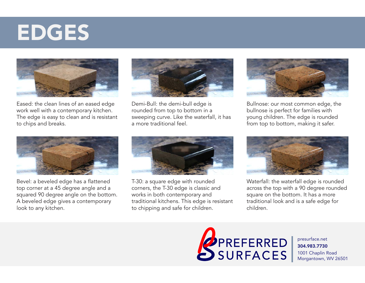### EDGES



Eased: the clean lines of an eased edge work well with a contemporary kitchen. The edge is easy to clean and is resistant to chips and breaks.



Demi-Bull: the demi-bull edge is rounded from top to bottom in a sweeping curve. Like the waterfall, it has a more traditional feel.



Bullnose: our most common edge, the bullnose is perfect for families with young children. The edge is rounded from top to bottom, making it safer.



Bevel: a beveled edge has a flattened top corner at a 45 degree angle and a squared 90 degree angle on the bottom. A beveled edge gives a contemporary look to any kitchen.



T-30: a square edge with rounded corners, the T-30 edge is classic and works in both contemporary and traditional kitchens. This edge is resistant to chipping and safe for children.



Waterfall: the waterfall edge is rounded across the top with a 90 degree rounded square on the bottom. It has a more traditional look and is a safe edge for children.

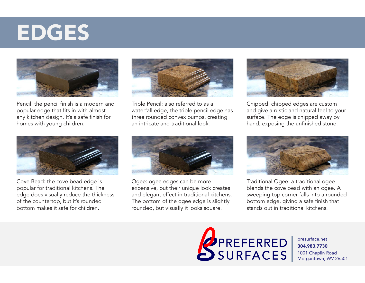### EDGES



Pencil: the pencil finish is a modern and popular edge that fits in with almost any kitchen design. It's a safe finish for homes with young children.



Triple Pencil: also referred to as a waterfall edge, the triple pencil edge has three rounded convex bumps, creating an intricate and traditional look.



Chipped: chipped edges are custom and give a rustic and natural feel to your surface. The edge is chipped away by hand, exposing the unfinished stone.



Cove Bead: the cove bead edge is popular for traditional kitchens. The edge does visually reduce the thickness of the countertop, but it's rounded bottom makes it safe for children.



Ogee: ogee edges can be more expensive, but their unique look creates and elegant effect in traditional kitchens. The bottom of the ogee edge is slightly rounded, but visually it looks square.



Traditional Ogee: a traditional ogee blends the cove bead with an ogee. A sweeping top corner falls into a rounded bottom edge, giving a safe finish that stands out in traditional kitchens.